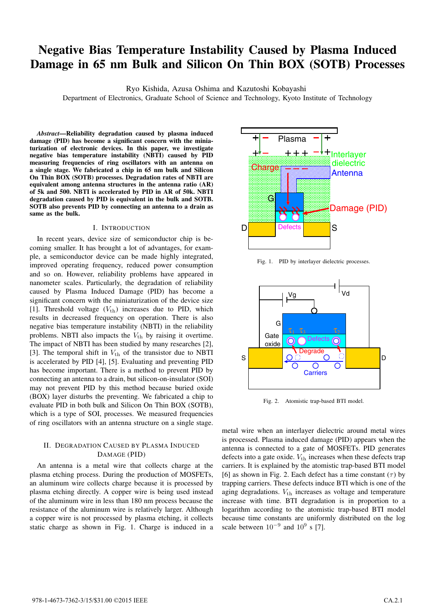# **Negative Bias Temperature Instability Caused by Plasma Induced Damage in 65 nm Bulk and Silicon On Thin BOX (SOTB) Processes**

Ryo Kishida, Azusa Oshima and Kazutoshi Kobayashi

Department of Electronics, Graduate School of Science and Technology, Kyoto Institute of Technology

*Abstract***—Reliability degradation caused by plasma induced damage (PID) has become a significant concern with the miniaturization of electronic devices. In this paper, we investigate negative bias temperature instability (NBTI) caused by PID measuring frequencies of ring oscillators with an antenna on a single stage. We fabricated a chip in 65 nm bulk and Silicon On Thin BOX (SOTB) processes. Degradation rates of NBTI are equivalent among antenna structures in the antenna ratio (AR) of 5k and 500. NBTI is accelerated by PID in AR of 50k. NBTI degradation caused by PID is equivalent in the bulk and SOTB. SOTB also prevents PID by connecting an antenna to a drain as same as the bulk.**

# I. INTRODUCTION

In recent years, device size of semiconductor chip is becoming smaller. It has brought a lot of advantages, for example, a semiconductor device can be made highly integrated, improved operating frequency, reduced power consumption and so on. However, reliability problems have appeared in nanometer scales. Particularly, the degradation of reliability caused by Plasma Induced Damage (PID) has become a significant concern with the miniaturization of the device size [1]. Threshold voltage  $(V_{\text{th}})$  increases due to PID, which results in decreased frequency on operation. There is also negative bias temperature instability (NBTI) in the reliability problems. NBTI also impacts the  $V_{th}$  by raising it overtime. The impact of NBTI has been studied by many researches [2], [3]. The temporal shift in  $V_{\text{th}}$  of the transistor due to NBTI is accelerated by PID [4], [5]. Evaluating and preventing PID has become important. There is a method to prevent PID by connecting an antenna to a drain, but silicon-on-insulator (SOI) may not prevent PID by this method because buried oxide (BOX) layer disturbs the preventing. We fabricated a chip to evaluate PID in both bulk and Silicon On Thin BOX (SOTB), which is a type of SOI, processes. We measured frequencies of ring oscillators with an antenna structure on a single stage.

# II. DEGRADATION CAUSED BY PLASMA INDUCED DAMAGE (PID)

An antenna is a metal wire that collects charge at the plasma etching process. During the production of MOSFETs, an aluminum wire collects charge because it is processed by plasma etching directly. A copper wire is being used instead of the aluminum wire in less than 180 nm process because the resistance of the aluminum wire is relatively larger. Although a copper wire is not processed by plasma etching, it collects static charge as shown in Fig. 1. Charge is induced in a



Fig. 1. PID by interlayer dielectric processes.



Fig. 2. Atomistic trap-based BTI model.

metal wire when an interlayer dielectric around metal wires is processed. Plasma induced damage (PID) appears when the antenna is connected to a gate of MOSFETs. PID generates defects into a gate oxide.  $V_{\text{th}}$  increases when these defects trap carriers. It is explained by the atomistic trap-based BTI model [6] as shown in Fig. 2. Each defect has a time constant  $(\tau)$  by trapping carriers. These defects induce BTI which is one of the aging degradations.  $V_{\text{th}}$  increases as voltage and temperature increase with time. BTI degradation is in proportion to a logarithm according to the atomistic trap-based BTI model because time constants are uniformly distributed on the log scale between  $10^{-9}$  and  $10^{9}$  s [7].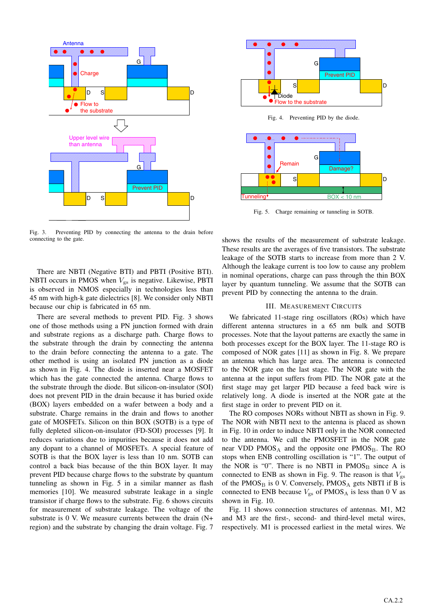

Fig. 3. Preventing PID by connecting the antenna to the drain before connecting to the gate.

There are NBTI (Negative BTI) and PBTI (Positive BTI). NBTI occurs in PMOS when  $V_{gs}$  is negative. Likewise, PBTI is observed in NMOS especially in technologies less than 45 nm with high-k gate dielectrics [8]. We consider only NBTI because our chip is fabricated in 65 nm.

There are several methods to prevent PID. Fig. 3 shows one of those methods using a PN junction formed with drain and substrate regions as a discharge path. Charge flows to the substrate through the drain by connecting the antenna to the drain before connecting the antenna to a gate. The other method is using an isolated PN junction as a diode as shown in Fig. 4. The diode is inserted near a MOSFET which has the gate connected the antenna. Charge flows to the substrate through the diode. But silicon-on-insulator (SOI) does not prevent PID in the drain because it has buried oxide (BOX) layers embedded on a wafer between a body and a substrate. Charge remains in the drain and flows to another gate of MOSFETs. Silicon on thin BOX (SOTB) is a type of fully depleted silicon-on-insulator (FD-SOI) processes [9]. It reduces variations due to impurities because it does not add any dopant to a channel of MOSFETs. A special feature of SOTB is that the BOX layer is less than 10 nm. SOTB can control a back bias because of the thin BOX layer. It may prevent PID because charge flows to the substrate by quantum tunneling as shown in Fig. 5 in a similar manner as flash memories [10]. We measured substrate leakage in a single transistor if charge flows to the substrate. Fig. 6 shows circuits for measurement of substrate leakage. The voltage of the substrate is 0 V. We measure currents between the drain (N+ region) and the substrate by changing the drain voltage. Fig. 7







Fig. 5. Charge remaining or tunneling in SOTB.

shows the results of the measurement of substrate leakage. These results are the averages of five transistors. The substrate leakage of the SOTB starts to increase from more than 2 V. Although the leakage current is too low to cause any problem in nominal operations, charge can pass through the thin BOX layer by quantum tunneling. We assume that the SOTB can prevent PID by connecting the antenna to the drain.

# III. MEASUREMENT CIRCUITS

We fabricated 11-stage ring oscillators (ROs) which have different antenna structures in a 65 nm bulk and SOTB processes. Note that the layout patterns are exactly the same in both processes except for the BOX layer. The 11-stage RO is composed of NOR gates [11] as shown in Fig. 8. We prepare an antenna which has large area. The antenna is connected to the NOR gate on the last stage. The NOR gate with the antenna at the input suffers from PID. The NOR gate at the first stage may get larger PID because a feed back wire is relatively long. A diode is inserted at the NOR gate at the first stage in order to prevent PID on it.

The RO composes NORs without NBTI as shown in Fig. 9. The NOR with NBTI next to the antenna is placed as shown in Fig. 10 in order to induce NBTI only in the NOR connected to the antenna. We call the PMOSFET in the NOR gate near VDD  $PMOS_A$  and the opposite one  $PMOS_B$ . The RO stops when ENB controlling oscillation is "1". The output of the NOR is "0". There is no NBTI in  $PMOS<sub>B</sub>$  since A is connected to ENB as shown in Fig. 9. The reason is that  $V_{gs}$ of the  $PMOS<sub>B</sub>$  is 0 V. Conversely,  $PMOS<sub>A</sub>$  gets NBTI if B is connected to ENB because  $V_{\text{gs}}$  of PMOS<sub>A</sub> is less than 0 V as shown in Fig. 10.

Fig. 11 shows connection structures of antennas. M1, M2 and M3 are the first-, second- and third-level metal wires, respectively. M1 is processed earliest in the metal wires. We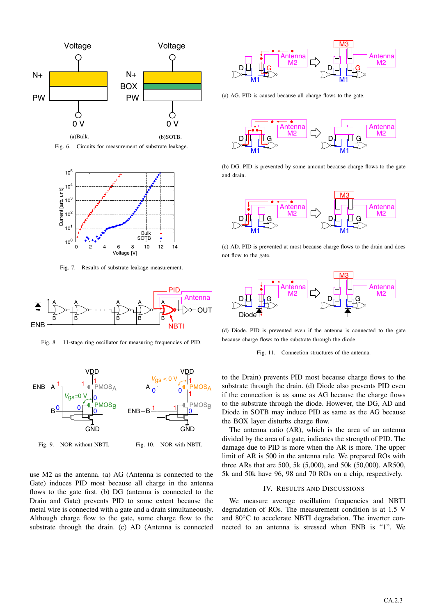

Fig. 6. Circuits for measurement of substrate leakage.



Fig. 7. Results of substrate leakage measurement.



Fig. 8. 11-stage ring oscillator for measuring frequencies of PID.



Fig. 9. NOR without NBTI. Fig. 10. NOR with NBTI.

use M2 as the antenna. (a) AG (Antenna is connected to the Gate) induces PID most because all charge in the antenna flows to the gate first. (b) DG (antenna is connected to the Drain and Gate) prevents PID to some extent because the metal wire is connected with a gate and a drain simultaneously. Although charge flow to the gate, some charge flow to the substrate through the drain. (c) AD (Antenna is connected



(a) AG. PID is caused because all charge flows to the gate.



(b) DG. PID is prevented by some amount because charge flows to the gate and drain.



(c) AD. PID is prevented at most because charge flows to the drain and does not flow to the gate.



(d) Diode. PID is prevented even if the antenna is connected to the gate because charge flows to the substrate through the diode.

#### Fig. 11. Connection structures of the antenna.

to the Drain) prevents PID most because charge flows to the substrate through the drain. (d) Diode also prevents PID even if the connection is as same as AG because the charge flows to the substrate through the diode. However, the DG, AD and Diode in SOTB may induce PID as same as the AG because the BOX layer disturbs charge flow.

The antenna ratio (AR), which is the area of an antenna divided by the area of a gate, indicates the strength of PID. The damage due to PID is more when the AR is more. The upper limit of AR is 500 in the antenna rule. We prepared ROs with three ARs that are 500, 5k (5,000), and 50k (50,000). AR500, 5k and 50k have 96, 98 and 70 ROs on a chip, respectively.

### IV. RESULTS AND DISCUSSIONS

We measure average oscillation frequencies and NBTI degradation of ROs. The measurement condition is at 1.5 V and 80◦C to accelerate NBTI degradation. The inverter connected to an antenna is stressed when ENB is "1". We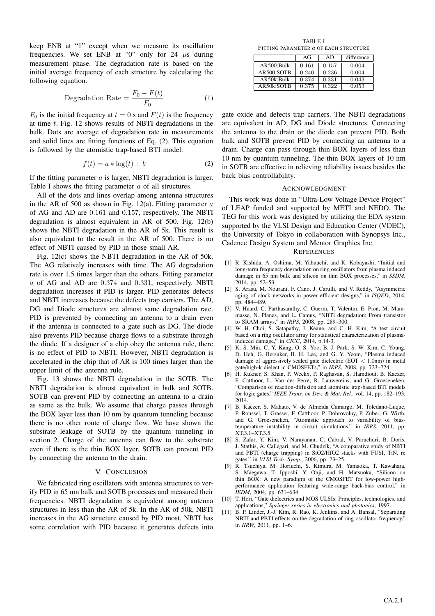keep ENB at "1" except when we measure its oscillation frequencies. We set ENB at "0" only for 24  $\mu$ s during measurement phase. The degradation rate is based on the initial average frequency of each structure by calculating the following equation.

$$
Degradation Rate = \frac{F_0 - F(t)}{F_0}
$$
 (1)

 $F_0$  is the initial frequency at  $t = 0$  s and  $F(t)$  is the frequency at time t. Fig. 12 shows results of NBTI degradations in the bulk. Dots are average of degradation rate in measurements and solid lines are fitting functions of Eq. (2). This equation is followed by the atomistic trap-based BTI model.

$$
f(t) = a * \log(t) + b \tag{2}
$$

If the fitting parameter  $a$  is larger, NBTI degradation is larger. Table I shows the fitting parameter a of all structures.

All of the dots and lines overlap among antenna structures in the AR of 500 as shown in Fig. 12(a). Fitting parameter  $a$ of AG and AD are 0.161 and 0.157, respectively. The NBTI degradation is almost equivalent in AR of 500. Fig. 12(b) shows the NBTI degradation in the AR of 5k. This result is also equivalent to the result in the AR of 500. There is no effect of NBTI caused by PID in those small AR.

Fig. 12(c) shows the NBTI degradation in the AR of 50k. The AG relatively increases with time. The AG degradation rate is over 1.5 times larger than the others. Fitting parameter a of AG and AD are 0.374 and 0.331, respectively. NBTI degradation increases if PID is larger. PID generates defects and NBTI increases because the defects trap carriers. The AD, DG and Diode structures are almost same degradation rate. PID is prevented by connecting an antenna to a drain even if the antenna is connected to a gate such as DG. The diode also prevents PID because charge flows to a substrate through the diode. If a designer of a chip obey the antenna rule, there is no effect of PID to NBTI. However, NBTI degradation is accelerated in the chip that of AR is 100 times larger than the upper limit of the antenna rule.

Fig. 13 shows the NBTI degradation in the SOTB. The NBTI degradation is almost equivalent in bulk and SOTB. SOTB can prevent PID by connecting an antenna to a drain as same as the bulk. We assume that charge passes through the BOX layer less than 10 nm by quantum tunneling because there is no other route of charge flow. We have shown the substrate leakage of SOTB by the quantum tunneling in section 2. Charge of the antenna can flow to the substrate even if there is the thin BOX layer. SOTB can prevent PID by connecting the antenna to the drain.

## V. CONCLUSION

We fabricated ring oscillators with antenna structures to verify PID in 65 nm bulk and SOTB processes and measured their frequencies. NBTI degradation is equivalent among antenna structures in less than the AR of 5k. In the AR of 50k, NBTI increases in the AG structure caused by PID most. NBTI has some correlation with PID because it generates defects into

TABLE I FITTING PARAMETER *a* OF EACH STRUCTURE

|            | AG    | AD    | difference |
|------------|-------|-------|------------|
| AR500:Bulk | 0.161 | 0.157 | 0.004      |
| AR500:SOTB | 0.240 | 0.236 | 0.004      |
| AR50k:Bulk | 0.374 | 0.331 | 0.043      |
| AR50k:SOTB | 0.375 | 0.322 | 0.053      |

gate oxide and defects trap carriers. The NBTI degradations are equivalent in AD, DG and Diode structures. Connecting the antenna to the drain or the diode can prevent PID. Both bulk and SOTB prevent PID by connecting an antenna to a drain. Charge can pass through thin BOX layers of less than 10 nm by quantum tunneling. The thin BOX layers of 10 nm in SOTB are effective in relieving reliability issues besides the back bias controllability.

## ACKNOWLEDGMENT

This work was done in "Ultra-Low Voltage Device Project" of LEAP funded and supported by METI and NEDO. The TEG for this work was designed by utilizing the EDA system supported by the VLSI Design and Education Center (VDEC), the University of Tokyo in collaboration with Synopsys Inc., Cadence Design System and Mentor Graphics Inc.

## **REFERENCES**

- [1] R. Kishida, A. Oshima, M. Yabuuchi, and K. Kobayashi, "Initial and long-term frequency degradation on ring oscillators from plasma induced damage in 65 nm bulk and silicon on thin BOX processes," in *SSDM*, 2014, pp. 52–53.
- [2] S. Arasu, M. Nourani, F. Cano, J. Carulli, and V. Reddy, "Asymmetric aging of clock networks in power efficient designs," in *ISQED*, 2014, pp. 484–489.
- [3] V. Huard, C. Parthasarathy, C. Guerin, T. Valentin, E. Pion, M. Mammasse, N. Planes, and L. Camus, "NBTI degradation: From transistor to SRAM arrays," in *IRPS*, 2008, pp. 289–300.
- [4] W. H. Choi, S. Satapathy, J. Keane, and C. H. Kim, "A test circuit based on a ring oscillator array for statistical characterization of plasmainduced damage," in *CICC*, 2014, p.14-3.
- [5] K. S. Min, C. Y. Kang, O. S. Yoo, B. J. Park, S. W. Kim, C. Young, D. Heh, G. Bersuker, B. H. Lee, and G. Y. Yeom, "Plasma induced damage of aggressively scaled gate dielectric (EOT *<* 1.0nm) in metal gate/high-k dielectric CMOSFETs," in *IRPS*, 2008, pp. 723–724.
- [6] H. Kukner, S. Khan, P. Weckx, P. Raghavan, S. Hamdioui, B. Kaczer, F. Catthoor, L. Van der Perre, R. Lauwereins, and G. Groeseneken, "Comparison of reaction-diffusion and atomistic trap-based BTI models for logic gates," *IEEE Trans. on Dev. & Mat. Rel.*, vol. 14, pp. 182–193, 2014.
- [7] B. Kaczer, S. Mahato, V. de Almeida Camargo, M. Toledano-Luque, P. Roussel, T. Grasser, F. Catthoor, P. Dobrovolny, P. Zuber, G. Wirth, and G. Groeseneken, "Atomistic approach to variability of biastemperature instability in circuit simulations," in *IRPS*, 2011, pp. XT.3.1–XT.3.5.
- [8] S. Zafar, Y. Kim, V. Narayanan, C. Cabral, V. Paruchuri, B. Doris, J. Stathis, A. Callegari, and M. Chudzik, "A comparative study of NBTI and PBTI (charge trapping) in SiO2/HfO2 stacks with FUSI, TiN, re gates," in *VLSI Tech. Symp.*, 2006, pp. 23–25.
- [9] R. Tsuchiya, M. Horiuchi, S. Kimura, M. Yamaoka, T. Kawahara, S. Maegawa, T. Ipposhi, Y. Ohji, and H. Matsuoka, "Silicon on thin BOX: A new paradigm of the CMOSFET for low-power highperformance application featuring wide-range back-bias control," in *IEDM*, 2004, pp. 631–634.
- [10] T. Hori, "Gate dielectrics and MOS ULSIs: Principles, technologies, and applications," *Springer series in electronics and photonics*, 1997.
- [11] B. P. Linder, J.-J. Kim, R. Rao, K. Jenkins, and A. Bansal, "Separating NBTI and PBTI effects on the degradation of ring oscillator frequency," in *IIRW*, 2011, pp. 1–6.